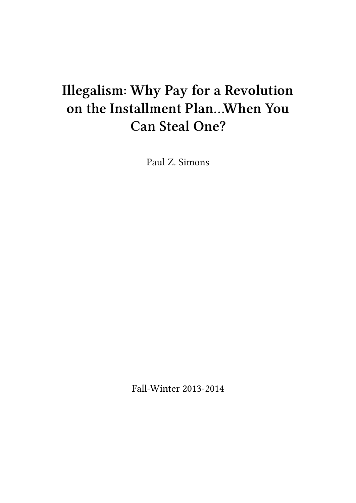# **Illegalism: Why Pay for a Revolution on the Installment Plan…When You Can Steal One?**

Paul Z. Simons

Fall-Winter 2013-2014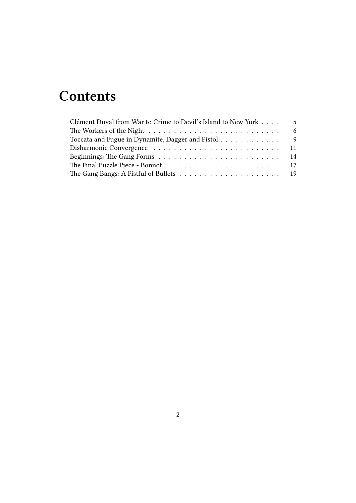## **Contents**

| Clément Duval from War to Crime to Devil's Island to New York | $5^{\circ}$ |
|---------------------------------------------------------------|-------------|
|                                                               |             |
| Toccata and Fugue in Dynamite, Dagger and Pistol 9            |             |
|                                                               |             |
|                                                               |             |
|                                                               |             |
|                                                               |             |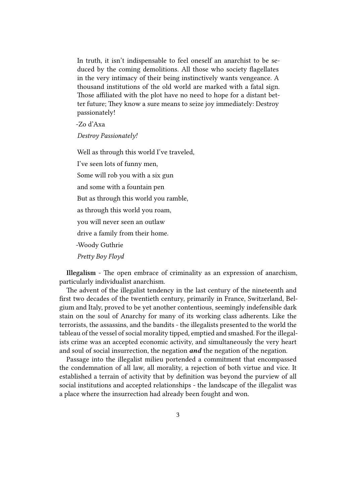In truth, it isn't indispensable to feel oneself an anarchist to be seduced by the coming demolitions. All those who society flagellates in the very intimacy of their being instinctively wants vengeance. A thousand institutions of the old world are marked with a fatal sign. Those affiliated with the plot have no need to hope for a distant better future; They know a sure means to seize joy immediately: Destroy passionately!

-Zo d'Axa

*Destroy Passionately!*

Well as through this world I've traveled, I've seen lots of funny men, Some will rob you with a six gun and some with a fountain pen But as through this world you ramble, as through this world you roam, you will never seen an outlaw drive a family from their home. -Woody Guthrie *Pretty Boy Floyd*

**Illegalism** - The open embrace of criminality as an expression of anarchism, particularly individualist anarchism.

The advent of the illegalist tendency in the last century of the nineteenth and first two decades of the twentieth century, primarily in France, Switzerland, Belgium and Italy, proved to be yet another contentious, seemingly indefensible dark stain on the soul of Anarchy for many of its working class adherents. Like the terrorists, the assassins, and the bandits - the illegalists presented to the world the tableau of the vessel of social morality tipped, emptied and smashed. For the illegalists crime was an accepted economic activity, and simultaneously the very heart and soul of social insurrection, the negation *and* the negation of the negation.

Passage into the illegalist milieu portended a commitment that encompassed the condemnation of all law, all morality, a rejection of both virtue and vice. It established a terrain of activity that by definition was beyond the purview of all social institutions and accepted relationships - the landscape of the illegalist was a place where the insurrection had already been fought and won.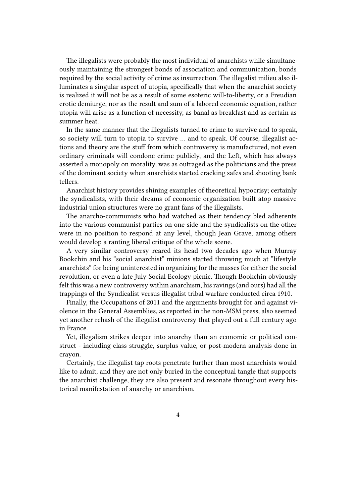The illegalists were probably the most individual of anarchists while simultaneously maintaining the strongest bonds of association and communication, bonds required by the social activity of crime as insurrection. The illegalist milieu also illuminates a singular aspect of utopia, specifically that when the anarchist society is realized it will not be as a result of some esoteric will-to-liberty, or a Freudian erotic demiurge, nor as the result and sum of a labored economic equation, rather utopia will arise as a function of necessity, as banal as breakfast and as certain as summer heat.

In the same manner that the illegalists turned to crime to survive and to speak, so society will turn to utopia to survive … and to speak. Of course, illegalist actions and theory are the stuff from which controversy is manufactured, not even ordinary criminals will condone crime publicly, and the Left, which has always asserted a monopoly on morality, was as outraged as the politicians and the press of the dominant society when anarchists started cracking safes and shooting bank tellers.

Anarchist history provides shining examples of theoretical hypocrisy; certainly the syndicalists, with their dreams of economic organization built atop massive industrial union structures were no grant fans of the illegalists.

The anarcho-communists who had watched as their tendency bled adherents into the various communist parties on one side and the syndicalists on the other were in no position to respond at any level, though Jean Grave, among others would develop a ranting liberal critique of the whole scene.

A very similar controversy reared its head two decades ago when Murray Bookchin and his "social anarchist" minions started throwing much at "lifestyle anarchists" for being uninterested in organizing for the masses for either the social revolution, or even a late July Social Ecology picnic. Though Bookchin obviously felt this was a new controversy within anarchism, his ravings (and ours) had all the trappings of the Syndicalist versus illegalist tribal warfare conducted circa 1910.

Finally, the Occupations of 2011 and the arguments brought for and against violence in the General Assemblies, as reported in the non-MSM press, also seemed yet another rehash of the illegalist controversy that played out a full century ago in France.

Yet, illegalism strikes deeper into anarchy than an economic or political construct - including class struggle, surplus value, or post-modern analysis done in crayon.

Certainly, the illegalist tap roots penetrate further than most anarchists would like to admit, and they are not only buried in the conceptual tangle that supports the anarchist challenge, they are also present and resonate throughout every historical manifestation of anarchy or anarchism.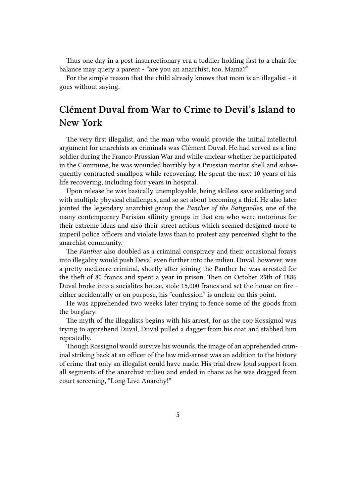Thus one day in a post-insurrectionary era a toddler holding fast to a chair for balance may query a parent - "are you an anarchist, too, Mama?"

For the simple reason that the child already knows that mom is an illegalist - it goes without saying.

### <span id="page-4-0"></span>**Clément Duval from War to Crime to Devil's Island to New York**

The very first illegalist, and the man who would provide the initial intellectul argument for anarchists as criminals was Clément Duval. He had served as a line soldier during the Franco-Prussian War and while unclear whether he participated in the Commune, he was wounded horribly by a Prussian mortar shell and subsequently contracted smallpox while recovering. He spent the next 10 years of his life recovering, including four years in hospital.

Upon release he was basically unemployable, being skilless save soldiering and with multiple physical challenges, and so set about becoming a thief. He also later jointed the legendary anarchist group the *Panther of the Batignolles*, one of the many contemporary Parisian affinity groups in that era who were notorious for their extreme ideas and also their street actions which seemed designed more to imperil police officers and violate laws than to protest any perceived slight to the anarchist community.

The *Panther* also doubled as a criminal conspiracy and their occasional forays into illegality would push Deval even further into the milieu. Duval, however, was a pretty mediocre criminal, shortly after joining the Panther he was arrested for the theft of 80 francs and spent a year in prison. Then on October 25th of 1886 Duval broke into a socialites house, stole 15,000 francs and set the house on fire either accidentally or on purpose, his "confession" is unclear on this point.

He was apprehended two weeks later trying to fence some of the goods from the burglary.

The myth of the illegalists begins with his arrest, for as the cop Rossignol was trying to apprehend Duval, Duval pulled a dagger from his coat and stabbed him repeatedly.

Though Rossignol would survive his wounds, the image of an apprehended criminal striking back at an officer of the law mid-arrest was an addition to the history of crime that only an illegalist could have made. His trial drew loud support from all segments of the anarchist milieu and ended in chaos as he was dragged from court screening, "Long Live Anarchy!"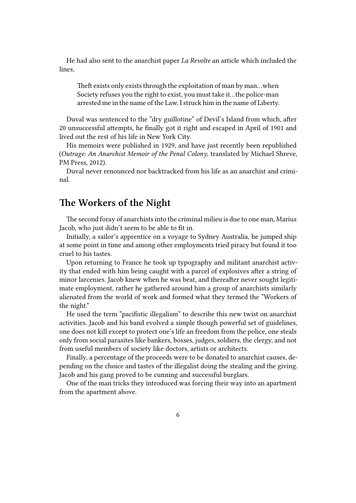He had also sent to the anarchist paper *La Revolte* an article which included the lines,

Theft exists only exists through the exploitation of man by man…when Society refuses you the right to exist, you must take it…the police-man arrested me in the name of the Law, I struck him in the name of Liberty.

Duval was sentenced to the "dry guillotine" of Devil's Island from which, after 20 unsuccessful attempts, he finally got it right and escaped in April of 1901 and lived out the rest of his life in New York City.

His memoirs were published in 1929, and have just recently been republished (*Outrage: An Anarchist Memoir of the Penal Colony*, translated by Michael Shreve, PM Press, 2012).

Duval never renounced nor backtracked from his life as an anarchist and criminal.

#### <span id="page-5-0"></span>**The Workers of the Night**

The second foray of anarchists into the criminal milieu is due to one man, Marius Jacob, who just didn't seem to be able to fit in.

Initially, a sailor's apprentice on a voyage to Sydney Australia, he jumped ship at some point in time and among other employments tried piracy but found it too cruel to his tastes.

Upon returning to France he took up typography and militant anarchist activity that ended with him being caught with a parcel of explosives after a string of minor larcenies. Jacob knew when he was beat, and thereafter never sought legitimate employment, rather he gathered around him a group of anarchists similarly alienated from the world of work and formed what they termed the "Workers of the night."

He used the term "pacifistic illegalism" to describe this new twist on anarchist activities. Jacob and his band evolved a simple though powerful set of guidelines, one does not kill except to protect one's life an freedom from the police, one steals only from social parasites like bankers, bosses, judges, soldiers, the clergy, and not from useful members of society like doctors, artists or architects.

Finally, a percentage of the proceeds were to be donated to anarchist causes, depending on the choice and tastes of the illegalist doing the stealing and the giving. Jacob and his gang proved to be cunning and successful burglars.

One of the man tricks they introduced was forcing their way into an apartment from the apartment above.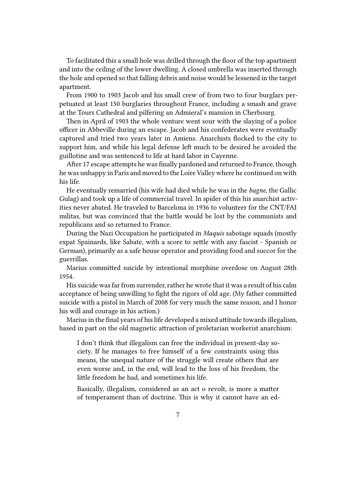To facilitated this a small hole was drilled through the floor of the top apartment and into the ceiling of the lower dwelling. A closed umbrella was inserted through the hole and opened so that falling debris and noise would be lessened in the target apartment.

From 1900 to 1903 Jacob and his small crew of from two to four burglars perpetuated at least 150 burglaries throughout France, including a smash and grave at the Tours Cathedral and pilfering an Admieral's mansion in Cherbourg.

Then in April of 1903 the whole venture went sour with the slaying of a police officer in Abbeville during an escape. Jacob and his confederates were eventually captured and tried two years later in Amiens. Anarchists flocked to the city to support him, and while his legal defense left much to be desired he avoided the guillotine and was sentenced to life at hard labor in Cayenne.

After 17 escape attempts he was finally pardoned and returned to France, though he was unhappy in Paris and moved to the Loire Valley where he continued on with his life.

He eventually remarried (his wife had died while he was in the *bagne*, the Gallic Gulag) and took up a life of commercial travel. In spider of this his anarchist activities never abated. He traveled to Barcelona in 1936 to volunteer for the CNT/FAI militas, but was convinced that the battle would be lost by the communists and republicans and so returned to France.

During the Nazi Occupation he participated in *Maquis* sabotage squads (mostly expat Spainards, like Sabate, with a score to settle with any fascist - Spanish or German), primarily as a safe house operator and providing food and succor for the guerrillas.

Marius committed suicide by intentional morphine overdose on August 28th 1954.

His suicide was far from surrender, rather he wrote that it was a result of his calm acceptance of being unwilling to fight the rigors of old age. (My father committed suicide with a pistol in March of 2008 for very much the same reason, and I honor his will and courage in his action.)

Marius in the final years of his life developed a mixed attitude towards illegalism, based in part on the old magnetic attraction of proletarian workerist anarchism:

I don't think that illegalism can free the individual in present-day society. If he manages to free himself of a few constraints using this means, the unequal nature of the struggle will create others that are even worse and, in the end, will lead to the loss of his freedom, the little freedom he had, and sometimes his life.

Basically, illegalism, considered as an act o revolt, is more a matter of temperament than of doctrine. This is why it cannot have an ed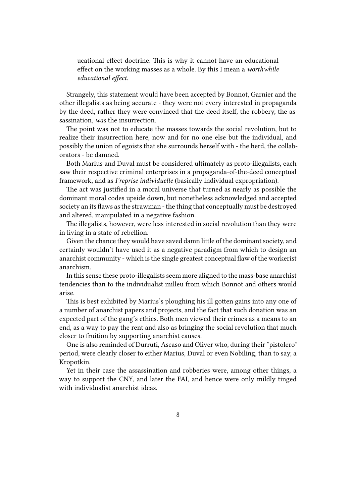ucational effect doctrine. This is why it cannot have an educational effect on the working masses as a whole. By this I mean a *worthwhile educational effect.*

Strangely, this statement would have been accepted by Bonnot, Garnier and the other illegalists as being accurate - they were not every interested in propaganda by the deed, rather they were convinced that the deed itself, the robbery, the assassination, *was* the insurrection.

The point was not to educate the masses towards the social revolution, but to realize their insurrection here, now and for no one else but the individual, and possibly the union of egoists that she surrounds herself with - the herd, the collaborators - be damned.

Both Marius and Duval must be considered ultimately as proto-illegalists, each saw their respective criminal enterprises in a propaganda-of-the-deed conceptual framework, and as *I'reprise individuelle* (basically individual expropriation).

The act was justified in a moral universe that turned as nearly as possible the dominant moral codes upside down, but nonetheless acknowledged and accepted society an its flaws as the strawman - the thing that conceptually must be destroyed and altered, manipulated in a negative fashion.

The illegalists, however, were less interested in social revolution than they were in living in a state of rebellion.

Given the chance they would have saved damn little of the dominant society, and certainly wouldn't have used it as a negative paradigm from which to design an anarchist community - which is the single greatest conceptual flaw of the workerist anarchism.

In this sense these proto-illegalists seem more aligned to the mass-base anarchist tendencies than to the individualist milleu from which Bonnot and others would arise.

This is best exhibited by Marius's ploughing his ill gotten gains into any one of a number of anarchist papers and projects, and the fact that such donation was an expected part of the gang's ethics. Both men viewed their crimes as a means to an end, as a way to pay the rent and also as bringing the social revolution that much closer to fruition by supporting anarchist causes.

One is also reminded of Durruti, Ascaso and Oliver who, during their "pistolero" period, were clearly closer to either Marius, Duval or even Nobiling, than to say, a Kropotkin.

Yet in their case the assassination and robberies were, among other things, a way to support the CNY, and later the FAI, and hence were only mildly tinged with individualist anarchist ideas.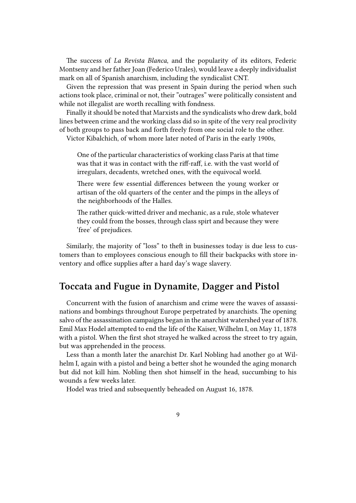The success of *La Revista Blanca*, and the popularity of its editors, Federic Montseny and her father Joan (Federico Urales), would leave a deeply individualist mark on all of Spanish anarchism, including the syndicalist CNT.

Given the repression that was present in Spain during the period when such actions took place, criminal or not, their "outrages" were politically consistent and while not illegalist are worth recalling with fondness.

Finally it should be noted that Marxists and the syndicalists who drew dark, bold lines between crime and the working class did so in spite of the very real proclivity of both groups to pass back and forth freely from one social role to the other.

Victor Kibalchich, of whom more later noted of Paris in the early 1900s,

One of the particular characteristics of working class Paris at that time was that it was in contact with the riff-raff, i.e. with the vast world of irregulars, decadents, wretched ones, with the equivocal world.

There were few essential differences between the young worker or artisan of the old quarters of the center and the pimps in the alleys of the neighborhoods of the Halles.

The rather quick-witted driver and mechanic, as a rule, stole whatever they could from the bosses, through class spirt and because they were 'free' of prejudices.

Similarly, the majority of "loss" to theft in businesses today is due less to customers than to employees conscious enough to fill their backpacks with store inventory and office supplies after a hard day's wage slavery.

#### <span id="page-8-0"></span>**Toccata and Fugue in Dynamite, Dagger and Pistol**

Concurrent with the fusion of anarchism and crime were the waves of assassinations and bombings throughout Europe perpetrated by anarchists. The opening salvo of the assassination campaigns began in the anarchist watershed year of 1878. Emil Max Hodel attempted to end the life of the Kaiser, Wilhelm I, on May 11, 1878 with a pistol. When the first shot strayed he walked across the street to try again, but was apprehended in the process.

Less than a month later the anarchist Dr. Karl Nobling had another go at Wilhelm I, again with a pistol and being a better shot he wounded the aging monarch but did not kill him. Nobling then shot himself in the head, succumbing to his wounds a few weeks later.

Hodel was tried and subsequently beheaded on August 16, 1878.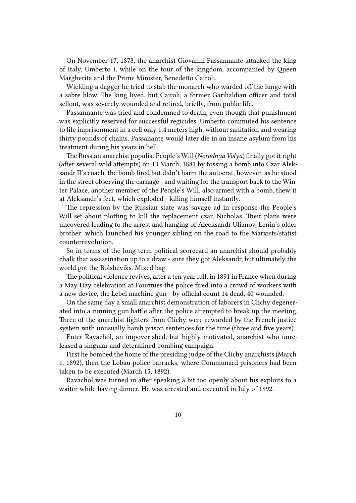On November 17, 1878, the anarchist Giovanni Passannante attacked the king of Italy, Umberto I, while on the tour of the kingdom, accompanied by Queen Margherita and the Prime Minister, Benedetto Cairoli.

Wielding a dagger he tried to stab the monarch who warded off the lunge with a sabre blow. The king lived, but Cairoli, a former Garibaldian officer and total sellout, was severely wounded and retired, briefly, from public life.

Passannante was tried and condemned to death, even though that punishment was explicitly reserved for successful regicides. Umberto commuted his sentence to life imprisonment in a cell only 1.4 meters high, without sanitation and wearing thirty pounds of chains. Passanante would later die in an insane asylum from his treatment during his years in hell.

The Russian anarchist populist People's Will (*Norodnya Volya*) finally got it right (after several wild attempts) on 13 March, 1881 by tossing a bomb into Czar Aleksandr II's coach. the bomb fired but didn't harm the autocrat, however, as he stood in the street observing the carnage - and waiting for the transport back to the Winter Palace, another member of the People's Will, also armed with a bomb, thew it at Aleksandr's feet, which exploded - killing himself instantly.

The repression by the Russian state was savage ad in response the People's Will set about plotting to kill the replacement czar, Nicholas. Their plans were uncovered leading to the arrest and hanging of Alecksandr Ulianov, Lenin's older brother; which launched his younger sibling on the road to the Marxists/statist counterrevolution.

So in terms of the long term political scorecard an anarchist should probably chalk that assassination up to a draw - sure they got Aleksandr, but ultimately the world got the Bolsheviks. Mixed bag.

The political violence revives, after a ten year lull, in 1891 in France when during a May Day celebration at Fourmies the police fired into a crowd of workers with a new device, the Lebel machine gun - by official count 14 dead, 40 wounded.

On the same day a small anarchist demonstration of laborers in Clichy degenerated into a running gun battle after the police attempted to break up the meeting. Three of the anarchist fighters from Clichy were rewarded by the French justice system with unusually harsh prison sentences for the time (three and five years).

Enter Ravachol, an impoverished, but highly motivated, anarchist who unreleased a singular and determined bombing campaign.

First he bombed the home of the presiding judge of the Clichy anarchists (March 1, 1892), then the Lobau police barracks, where Communard prisoners had been taken to be executed (March 15, 1892).

Ravachol was turned in after speaking a bit too openly about his exploits to a waiter while having dinner. He was arrested and executed in July of 1892.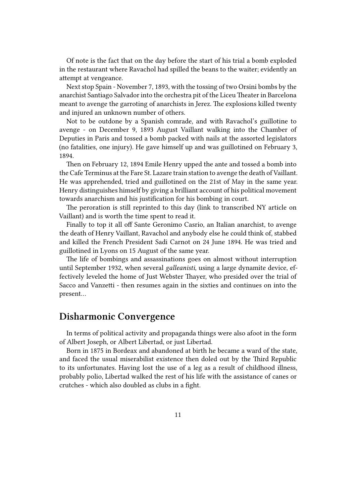Of note is the fact that on the day before the start of his trial a bomb exploded in the restaurant where Ravachol had spilled the beans to the waiter; evidently an attempt at vengeance.

Next stop Spain - November 7, 1893, with the tossing of two Orsini bombs by the anarchist Santiago Salvador into the orchestra pit of the Liceu Theater in Barcelona meant to avenge the garroting of anarchists in Jerez. The explosions killed twenty and injured an unknown number of others.

Not to be outdone by a Spanish comrade, and with Ravachol's guillotine to avenge - on December 9, 1893 August Vaillant walking into the Chamber of Deputies in Paris and tossed a bomb packed with nails at the assorted legislators (no fatalities, one injury). He gave himself up and was guillotined on February 3, 1894.

Then on February 12, 1894 Emile Henry upped the ante and tossed a bomb into the Cafe Terminus at the Fare St. Lazare train station to avenge the death of Vaillant. He was apprehended, tried and guillotined on the 21st of May in the same year. Henry distinguishes himself by giving a brilliant account of his political movement towards anarchism and his justification for his bombing in court.

The peroration is still reprinted to this day (link to transcribed NY article on Vaillant) and is worth the time spent to read it.

Finally to top it all off Sante Geronimo Casrio, an Italian anarchist, to avenge the death of Henry Vaillant, Ravachol and anybody else he could think of, stabbed and killed the French President Sadi Carnot on 24 June 1894. He was tried and guillotined in Lyons on 15 August of the same year.

The life of bombings and assassinations goes on almost without interruption until September 1932, when several *galleanisti*, using a large dynamite device, effectively leveled the home of Just Webster Thayer, who presided over the trial of Sacco and Vanzetti - then resumes again in the sixties and continues on into the present…

#### <span id="page-10-0"></span>**Disharmonic Convergence**

In terms of political activity and propaganda things were also afoot in the form of Albert Joseph, or Albert Libertad, or just Libertad.

Born in 1875 in Bordeax and abandoned at birth he became a ward of the state, and faced the usual miserabilist existence then doled out by the Third Republic to its unfortunates. Having lost the use of a leg as a result of childhood illness, probably polio, Libertad walked the rest of his life with the assistance of canes or crutches - which also doubled as clubs in a fight.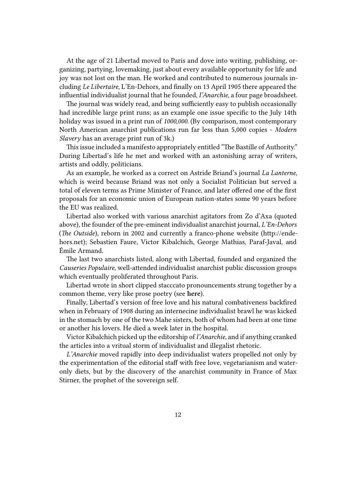At the age of 21 Libertad moved to Paris and dove into writing, publishing, organizing, partying, lovemaking, just about every available opportunity for life and joy was not lost on the man. He worked and contributed to numerous journals including *Le Libertaire*, L'En-Dehors, and finally on 13 April 1905 there appeared the influential individualist journal that he founded, *I'Anarchie*, a four page broadsheet.

The journal was widely read, and being sufficiently easy to publish occasionally had incredible large print runs; as an example one issue specific to the July 14th holiday was issued in a print run of *1000,000*. (By comparison, most contemporary North American anarchist publications run far less than 5,000 copies - *Modern Slavery* has an average print run of 3k.)

This issue included a manifesto appropriately entitled "The Bastille of Authority." During Libertad's life he met and worked with an astonishing array of writers, artists and oddly, politicians.

As an example, he worked as a correct on Astride Briand's journal *La Lanterne*, which is weird because Briand was not only a Socialist Politician but served a total of eleven terms as Prime Minister of France, and later offered one of the first proposals for an economic union of European nation-states some 90 years before the EU was realized.

Libertad also worked with various anarchist agitators from Zo d'Axa (quoted above), the founder of the pre-eminent individualist anarchist journal, *L'En-Dehors* (*The Outside*), reborn in 2002 and currently a franco-phone website (http://endehors.net); Sebastien Faure, Victor Kibalchich, George Mathias, Paraf-Javal, and Émile Armand.

The last two anarchists listed, along with Libertad, founded and organized the *Causeries Populaire*, well-attended individualist anarchist public discussion groups which eventually proliferated throughout Paris.

Libertad wrote in short clipped stacccato pronouncements strung together by a common theme, very like prose poetry (see **here**).

Finally, Libertad's version of free love and his natural combativeness backfired when in February of 1908 during an internecine individualist brawl he was kicked in the stomach by one of the two Mahe sisters, both of whom had been at one time or another his lovers. He died a week later in the hospital.

Victor Kibalchich picked up the editorship of *l'Anarchie*, and if anything cranked the articles into a vritual storm of individualist and illegalist rhetoric.

*L'Anarchie* moved rapidly into deep individualist waters propelled not only by the experimentation of the editorial staff with free love, vegetarianism and wateronly diets, but by the discovery of the anarchist community in France of Max Stirner, the prophet of the sovereign self.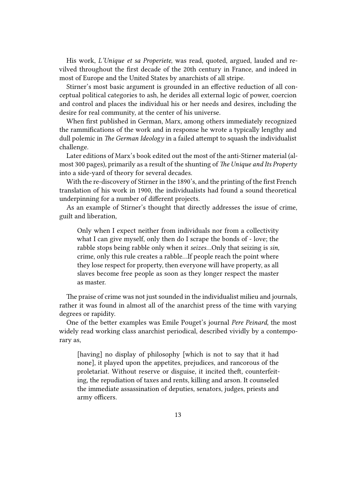His work, *L'Unique et sa Properiete*, was read, quoted, argued, lauded and revilved throughout the first decade of the 20th century in France, and indeed in most of Europe and the United States by anarchists of all stripe.

Stirner's most basic argument is grounded in an effective reduction of all conceptual political categories to ash, he derides all external logic of power, coercion and control and places the individual his or her needs and desires, including the desire for real community, at the center of his universe.

When first published in German, Marx, among others immediately recognized the rammifications of the work and in response he wrote a typically lengthy and dull polemic in *The German Ideology* in a failed attempt to squash the individualist challenge.

Later editions of Marx's book edited out the most of the anti-Stirner material (almost 300 pages), primarily as a result of the shunting of *The Unique and Its Property* into a side-yard of theory for several decades.

With the re-discovery of Stirner in the 1890's, and the printing of the first French translation of his work in 1900, the individualists had found a sound theoretical underpinning for a number of different projects.

As an example of Stirner's thought that directly addresses the issue of crime, guilt and liberation,

Only when I expect neither from individuals nor from a collectivity what I can give myself, only then do I scrape the bonds of - love; the rabble stops being rabble only when it *seizes*…Only that seizing is *sin*, crime, only this rule creates a rabble…If people reach the point where they lose respect for property, then everyone will have property, as all slaves become free people as soon as they longer respect the master as master.

The praise of crime was not just sounded in the individualist milieu and journals, rather it was found in almost all of the anarchist press of the time with varying degrees or rapidity.

One of the better examples was Emile Pouget's journal *Pere Peinard*, the most widely read working class anarchist periodical, described vividly by a contemporary as,

[having] no display of philosophy [which is not to say that it had none], it played upon the appetites, prejudices, and rancorous of the proletariat. Without reserve or disguise, it incited theft, counterfeiting, the repudiation of taxes and rents, killing and arson. It counseled the immediate assassination of deputies, senators, judges, priests and army officers.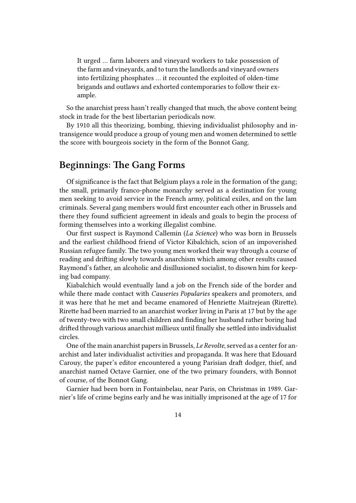It urged … farm laborers and vineyard workers to take possession of the farm and vineyards, and to turn the landlords and vineyard owners into fertilizing phosphates … it recounted the exploited of olden-time brigands and outlaws and exhorted contemporaries to follow their example.

So the anarchist press hasn't really changed that much, the above content being stock in trade for the best libertarian periodicals now.

By 1910 all this theorizing, bombing, thieving individualist philosophy and intransigence would produce a group of young men and women determined to settle the score with bourgeois society in the form of the Bonnot Gang.

#### **Beginnings: The Gang Forms**

Of significance is the fact that Belgium plays a role in the formation of the gang; the small, primarily franco-phone monarchy served as a destination for young men seeking to avoid service in the French army, political exiles, and on the lam criminals. Several gang members would first encounter each other in Brussels and there they found sufficient agreement in ideals and goals to begin the process of forming themselves into a working illegalist combine.

Our first suspect is Raymond Callemin (*La Science*) who was born in Brussels and the earliest childhood friend of Victor Kibalchich, scion of an impoverished Russian refugee family. The two young men worked their way through a course of reading and drifting slowly towards anarchism which among other results caused Raymond's father, an alcoholic and disillusioned socialist, to disown him for keeping bad company.

Kiabalchich would eventually land a job on the French side of the border and while there made contact with *Causeries Popularies* speakers and promoters, and it was here that he met and became enamored of Henriette Maitrejean (Rirette). Rirette had been married to an anarchist worker living in Paris at 17 but by the age of twenty-two with two small children and finding her husband rather boring had drifted through various anarchist millieux until finally she settled into individualist circles.

One of the main anarchist papers in Brussels, *Le Revolte*, served as a center for anarchist and later individualist activities and propaganda. It was here that Edouard Carouy, the paper's editor encountered a young Parisian draft dodger, thief, and anarchist named Octave Garnier, one of the two primary founders, with Bonnot of course, of the Bonnot Gang.

Garnier had been born in Fontainbelau, near Paris, on Christmas in 1989. Garnier's life of crime begins early and he was initially imprisoned at the age of 17 for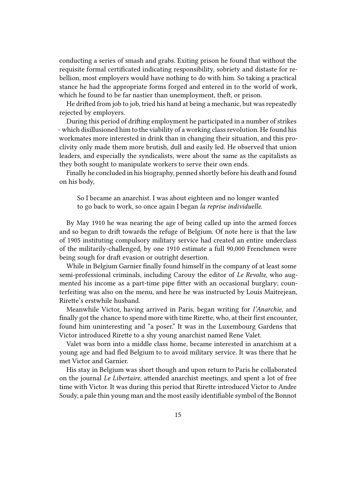conducting a series of smash and grabs. Exiting prison he found that without the requisite formal certificated indicating responsibility, sobriety and distaste for rebellion, most employers would have nothing to do with him. So taking a practical stance he had the appropriate forms forged and entered in to the world of work, which he found to be far nastier than unemployment, theft, or prison.

He drifted from job to job, tried his hand at being a mechanic, but was repeatedly rejected by employers.

During this period of drifting employment he participated in a number of strikes - which disillusioned him to the viability of a working class revolution. He found his workmates more interested in drink than in changing their situation, and this proclivity only made them more brutish, dull and easily led. He observed that union leaders, and especially the syndicalists, were about the same as the capitalists as they both sought to manipulate workers to serve their own ends.

Finally he concluded in his biography, penned shortly before his death and found on his body,

So I became an anarchist. I was about eighteen and no longer wanted to go back to work, so once again I began *la reprise individuelle*.

By May 1910 he was nearing the age of being called up into the armed forces and so began to drift towards the refuge of Belgium. Of note here is that the law of 1905 instituting compulsory military service had created an entire underclass of the militarily-challenged, by one 1910 estimate a full 90,000 Frenchmen were being sough for draft evasion or outright desertion.

While in Belgium Garnier finally found himself in the company of at least some semi-professional criminals, including Carouy the editor of *Le Revolte*, who augmented his income as a part-time pipe fitter with an occasional burglary; counterfeiting was also on the menu, and here he was instructed by Louis Maitrejean, Rirette's erstwhile husband.

Meanwhile Victor, having arrived in Paris, began writing for *l'Anarchie*, and finally got the chance to spend more with time Rirette, who, at their first encounter, found him uninteresting and "a poser." It was in the Luxembourg Gardens that Victor introduced Rirette to a shy young anarchist named Rene Valet.

Valet was born into a middle class home, became interested in anarchism at a young age and had fled Belgium to to avoid military service. It was there that he met Victor and Garnier.

His stay in Belgium was short though and upon return to Paris he collaborated on the journal *Le Libertaire*, attended anarchist meetings, and spent a lot of free time with Victor. It was during this period that Rirette introduced Victor to Andre Soudy, a pale thin young man and the most easily identifiable symbol of the Bonnot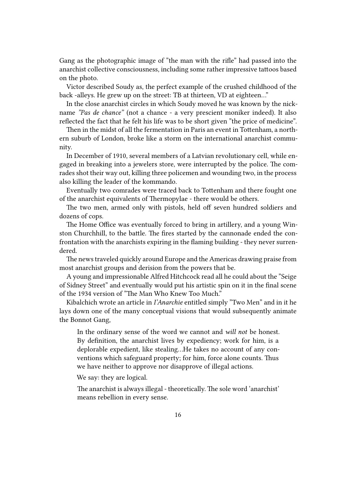Gang as the photographic image of "the man with the rifle" had passed into the anarchist collective consciousness, including some rather impressive tattoos based on the photo.

Victor described Soudy as, the perfect example of the crushed childhood of the back -alleys. He grew up on the street: TB at thirteen, VD at eighteen…"

In the close anarchist circles in which Soudy moved he was known by the nickname *"Pas de chance"* (not a chance - a very prescient moniker indeed). It also reflected the fact that he felt his life was to be short given "the price of medicine".

Then in the midst of all the fermentation in Paris an event in Tottenham, a northern suburb of London, broke like a storm on the international anarchist community.

In December of 1910, several members of a Latvian revolutionary cell, while engaged in breaking into a jewelers store, were interrupted by the police. The comrades shot their way out, killing three policemen and wounding two, in the process also killing the leader of the kommando.

Eventually two comrades were traced back to Tottenham and there fought one of the anarchist equivalents of Thermopylae - there would be others.

The two men, armed only with pistols, held off seven hundred soldiers and dozens of cops.

The Home Office was eventually forced to bring in artillery, and a young Winston Churchhill, to the battle. The fires started by the cannonade ended the confrontation with the anarchists expiring in the flaming building - they never surrendered.

The news traveled quickly around Europe and the Americas drawing praise from most anarchist groups and derision from the powers that be.

A young and impressionable Alfred Hitchcock read all he could about the "Seige of Sidney Street" and eventually would put his artistic spin on it in the final scene of the 1934 version of "The Man Who Knew Too Much."

Kibalchich wrote an article in *I'Anarchie* entitled simply "Two Men" and in it he lays down one of the many conceptual visions that would subsequently animate the Bonnot Gang,

In the ordinary sense of the word we cannot and *will not* be honest. By definition, the anarchist lives by expediency; work for him, is a deplorable expedient, like stealing…He takes no account of any conventions which safeguard property; for him, force alone counts. Thus we have neither to approve nor disapprove of illegal actions.

We say: they are logical.

The anarchist is always illegal - theoretically. The sole word 'anarchist' means rebellion in every sense.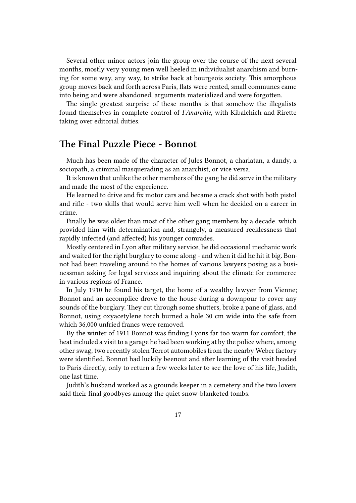Several other minor actors join the group over the course of the next several months, mostly very young men well heeled in individualist anarchism and burning for some way, any way, to strike back at bourgeois society. This amorphous group moves back and forth across Paris, flats were rented, small communes came into being and were abandoned, arguments materialized and were forgotten.

The single greatest surprise of these months is that somehow the illegalists found themselves in complete control of *I'Anarchie*, with Kibalchich and Rirette taking over editorial duties.

#### **The Final Puzzle Piece - Bonnot**

Much has been made of the character of Jules Bonnot, a charlatan, a dandy, a sociopath, a criminal masquerading as an anarchist, or vice versa.

It is known that unlike the other members of the gang he did serve in the military and made the most of the experience.

He learned to drive and fix motor cars and became a crack shot with both pistol and rifle - two skills that would serve him well when he decided on a career in crime.

Finally he was older than most of the other gang members by a decade, which provided him with determination and, strangely, a measured recklessness that rapidly infected (and affected) his younger comrades.

Mostly centered in Lyon after military service, he did occasional mechanic work and waited for the right burglary to come along - and when it did he hit it big. Bonnot had been traveling around to the homes of various lawyers posing as a businessman asking for legal services and inquiring about the climate for commerce in various regions of France.

In July 1910 he found his target, the home of a wealthy lawyer from Vienne; Bonnot and an accomplice drove to the house during a downpour to cover any sounds of the burglary. They cut through some shutters, broke a pane of glass, and Bonnot, using oxyacetylene torch burned a hole 30 cm wide into the safe from which 36,000 unfried francs were removed.

By the winter of 1911 Bonnot was finding Lyons far too warm for comfort, the heat included a visit to a garage he had been working at by the police where, among other swag, two recently stolen Terrot automobiles from the nearby Weber factory were identified. Bonnot had luckily beenout and after learning of the visit headed to Paris directly, only to return a few weeks later to see the love of his life, Judith, one last time.

Judith's husband worked as a grounds keeper in a cemetery and the two lovers said their final goodbyes among the quiet snow-blanketed tombs.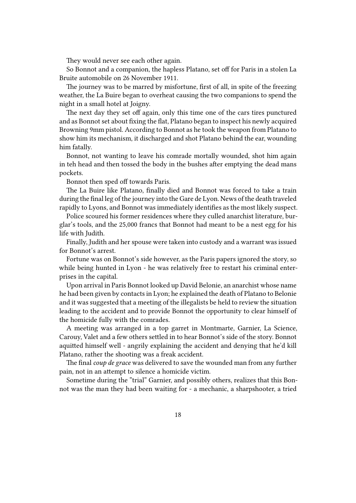They would never see each other again.

So Bonnot and a companion, the hapless Platano, set off for Paris in a stolen La Bruite automobile on 26 November 1911.

The journey was to be marred by misfortune, first of all, in spite of the freezing weather, the La Buire began to overheat causing the two companions to spend the night in a small hotel at Joigny.

The next day they set off again, only this time one of the cars tires punctured and as Bonnot set about fixing the flat, Platano began to inspect his newly acquired Browning 9mm pistol. According to Bonnot as he took the weapon from Platano to show him its mechanism, it discharged and shot Platano behind the ear, wounding him fatally.

Bonnot, not wanting to leave his comrade mortally wounded, shot him again in teh head and then tossed the body in the bushes after emptying the dead mans pockets.

Bonnot then sped off towards Paris.

The La Buire like Platano, finally died and Bonnot was forced to take a train during the final leg of the journey into the Gare de Lyon. News of the death traveled rapidly to Lyons, and Bonnot was immediately identifies as the most likely suspect.

Police scoured his former residences where they culled anarchist literature, burglar's tools, and the 25,000 francs that Bonnot had meant to be a nest egg for his life with Judith.

Finally, Judith and her spouse were taken into custody and a warrant was issued for Bonnot's arrest.

Fortune was on Bonnot's side however, as the Paris papers ignored the story, so while being hunted in Lyon - he was relatively free to restart his criminal enterprises in the capital.

Upon arrival in Paris Bonnot looked up David Belonie, an anarchist whose name he had been given by contacts in Lyon; he explained the death of Platano to Belonie and it was suggested that a meeting of the illegalists be held to review the situation leading to the accident and to provide Bonnot the opportunity to clear himself of the homicide fully with the comrades.

A meeting was arranged in a top garret in Montmarte, Garnier, La Science, Carouy, Valet and a few others settled in to hear Bonnot's side of the story. Bonnot aquitted himself well - angrily explaining the accident and denying that he'd kill Platano, rather the shooting was a freak accident.

The final *coup de grace* was delivered to save the wounded man from any further pain, not in an attempt to silence a homicide victim.

Sometime during the "trial" Garnier, and possibly others, realizes that this Bonnot was the man they had been waiting for - a mechanic, a sharpshooter, a tried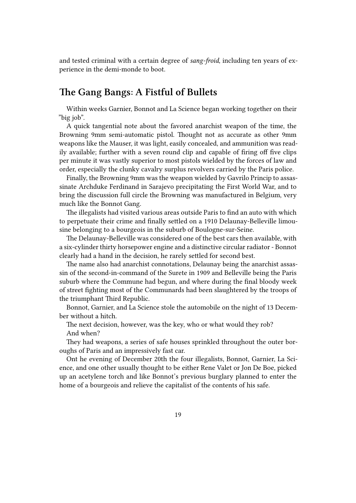and tested criminal with a certain degree of *sang-froid*, including ten years of experience in the demi-monde to boot.

#### **The Gang Bangs: A Fistful of Bullets**

Within weeks Garnier, Bonnot and La Science began working together on their "big job".

A quick tangential note about the favored anarchist weapon of the time, the Browning 9mm semi-automatic pistol. Thought not as accurate as other 9mm weapons like the Mauser, it was light, easily concealed, and ammunition was readily available; further with a seven round clip and capable of firing off five clips per minute it was vastly superior to most pistols wielded by the forces of law and order, especially the clunky cavalry surplus revolvers carried by the Paris police.

Finally, the Browning 9mm was the weapon wielded by Gavrilo Princip to assassinate Archduke Ferdinand in Sarajevo precipitating the First World War, and to bring the discussion full circle the Browning was manufactured in Belgium, very much like the Bonnot Gang.

The illegalists had visited various areas outside Paris to find an auto with which to perpetuate their crime and finally settled on a 1910 Delaunay-Belleville limousine belonging to a bourgeois in the suburb of Boulogne-sur-Seine.

The Delaunay-Belleville was considered one of the best cars then available, with a six-cylinder thirty horsepower engine and a distinctive circular radiator - Bonnot clearly had a hand in the decision, he rarely settled for second best.

The name also had anarchist connotations, Delaunay being the anarchist assassin of the second-in-command of the Surete in 1909 and Belleville being the Paris suburb where the Commune had begun, and where during the final bloody week of street fighting most of the Communards had been slaughtered by the troops of the triumphant Third Republic.

Bonnot, Garnier, and La Science stole the automobile on the night of 13 December without a hitch.

The next decision, however, was the key, who or what would they rob? And when?

They had weapons, a series of safe houses sprinkled throughout the outer boroughs of Paris and an impressively fast car.

Ont he evening of December 20th the four illegalists, Bonnot, Garnier, La Science, and one other usually thought to be either Rene Valet or Jon De Boe, picked up an acetylene torch and like Bonnot's previous burglary planned to enter the home of a bourgeois and relieve the capitalist of the contents of his safe.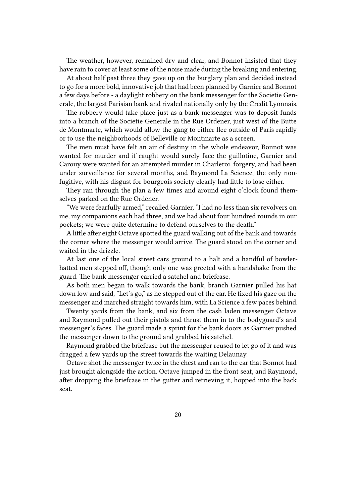The weather, however, remained dry and clear, and Bonnot insisted that they have rain to cover at least some of the noise made during the breaking and entering.

At about half past three they gave up on the burglary plan and decided instead to go for a more bold, innovative job that had been planned by Garnier and Bonnot a few days before - a daylight robbery on the bank messenger for the Societie Generale, the largest Parisian bank and rivaled nationally only by the Credit Lyonnais.

The robbery would take place just as a bank messenger was to deposit funds into a branch of the Societie Generale in the Rue Ordener, just west of the Butte de Montmarte, which would allow the gang to either flee outside of Paris rapidly or to use the neighborhoods of Belleville or Montmarte as a screen.

The men must have felt an air of destiny in the whole endeavor, Bonnot was wanted for murder and if caught would surely face the guillotine, Garnier and Carouy were wanted for an attempted murder in Charleroi, forgery, and had been under surveillance for several months, and Raymond La Science, the only nonfugitive, with his disgust for bourgeois society clearly had little to lose either.

They ran through the plan a few times and around eight o'clock found themselves parked on the Rue Ordener.

"We were fearfully armed," recalled Garnier, "I had no less than six revolvers on me, my companions each had three, and we had about four hundred rounds in our pockets; we were quite determine to defend ourselves to the death."

A little after eight Octave spotted the guard walking out of the bank and towards the corner where the messenger would arrive. The guard stood on the corner and waited in the drizzle.

At last one of the local street cars ground to a halt and a handful of bowlerhatted men stepped off, though only one was greeted with a handshake from the guard. The bank messenger carried a satchel and briefcase.

As both men began to walk towards the bank, branch Garnier pulled his hat down low and said, "Let's go," as he stepped out of the car. He fixed his gaze on the messenger and marched straight towards him, with La Science a few paces behind.

Twenty yards from the bank, and six from the cash laden messenger Octave and Raymond pulled out their pistols and thrust them in to the bodyguard's and messenger's faces. The guard made a sprint for the bank doors as Garnier pushed the messenger down to the ground and grabbed his satchel.

Raymond grabbed the briefcase but the messenger reused to let go of it and was dragged a few yards up the street towards the waiting Delaunay.

Octave shot the messenger twice in the chest and ran to the car that Bonnot had just brought alongside the action. Octave jumped in the front seat, and Raymond, after dropping the briefcase in the gutter and retrieving it, hopped into the back seat.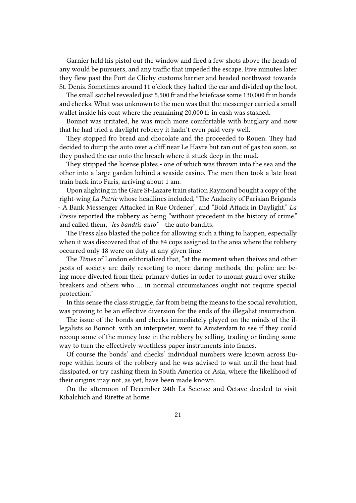Garnier held his pistol out the window and fired a few shots above the heads of any would be pursuers, and any traffic that impeded the escape. Five minutes later they flew past the Port de Clichy customs barrier and headed northwest towards St. Denis. Sometimes around 11 o'clock they halted the car and divided up the loot.

The small satchel revealed just 5,500 fr and the briefcase some 130,000 fr in bonds and checks. What was unknown to the men was that the messenger carried a small wallet inside his coat where the remaining 20,000 fr in cash was stashed.

Bonnot was irritated, he was much more comfortable with burglary and now that he had tried a daylight robbery it hadn't even paid very well.

They stopped fro bread and chocolate and the proceeded to Rouen. They had decided to dump the auto over a cliff near Le Havre but ran out of gas too soon, so they pushed the car onto the breach where it stuck deep in the mud.

They stripped the license plates - one of which was thrown into the sea and the other into a large garden behind a seaside casino. The men then took a late boat train back into Paris, arriving about 1 am.

Upon alighting in the Gare St-Lazare train station Raymond bought a copy of the right-wing *La Patrie* whose headlines included, "The Audacity of Parisian Brigands - A Bank Messenger Attacked in Rue Ordener", and "Bold Attack in Daylight." *La Presse* reported the robbery as being "without precedent in the history of crime," and called them, "*les bandtis auto"* - the auto bandits.

The Press also blasted the police for allowing such a thing to happen, especially when it was discovered that of the 84 cops assigned to the area where the robbery occurred only 18 were on duty at any given time.

The *Times* of London editorialized that, "at the moment when theives and other pests of society are daily resorting to more daring methods, the police are being more diverted from their primary duties in order to mount guard over strikebreakers and others who … in normal circumstances ought not require special protection."

In this sense the class struggle, far from being the means to the social revolution, was proving to be an effective diversion for the ends of the illegalist insurrection.

The issue of the bonds and checks immediately played on the minds of the illegalists so Bonnot, with an interpreter, went to Amsterdam to see if they could recoup some of the money lose in the robbery by selling, trading or finding some way to turn the effectively worthless paper instruments into francs.

Of course the bonds' and checks' individual numbers were known across Europe within hours of the robbery and he was advised to wait until the heat had dissipated, or try cashing them in South America or Asia, where the likelihood of their origins may not, as yet, have been made known.

On the afternoon of December 24th La Science and Octave decided to visit Kibalchich and Rirette at home.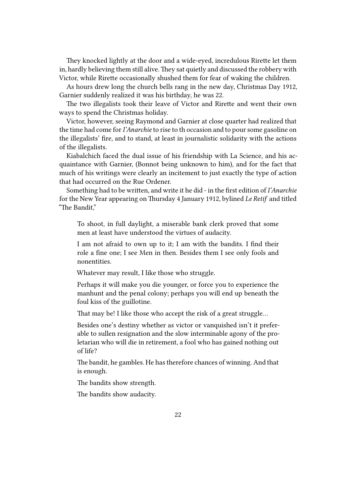They knocked lightly at the door and a wide-eyed, incredulous Rirette let them in, hardly believing them still alive.They sat quietly and discussed the robbery with Victor, while Rirette occasionally shushed them for fear of waking the children.

As hours drew long the church bells rang in the new day, Christmas Day 1912, Garnier suddenly realized it was his birthday, he was 22.

The two illegalists took their leave of Victor and Rirette and went their own ways to spend the Christmas holiday.

Victor, however, seeing Raymond and Garnier at close quarter had realized that the time had come for*I'Anarchie* to rise to th occasion and to pour some gasoline on the illegalists' fire, and to stand, at least in journalistic solidarity with the actions of the illegalists.

Kiabalchich faced the dual issue of his friendship with La Science, and his acquaintance with Garnier, (Bonnot being unknown to him), and for the fact that much of his writings were clearly an incitement to just exactly the type of action that had occurred on the Rue Ordener.

Something had to be written, and write it he did - in the first edition of *I'Anarchie* for the New Year appearing on Thursday 4 January 1912, bylined *Le Retif* and titled "The Bandit,"

To shoot, in full daylight, a miserable bank clerk proved that some men at least have understood the virtues of audacity.

I am not afraid to own up to it; I am with the bandits. I find their role a fine one; I see Men in then. Besides them I see only fools and nonentities.

Whatever may result, I like those who struggle.

Perhaps it will make you die younger, or force you to experience the manhunt and the penal colony; perhaps you will end up beneath the foul kiss of the guillotine.

That may be! I like those who accept the risk of a great struggle…

Besides one's destiny whether as victor or vanquished isn't it preferable to sullen resignation and the slow interminable agony of the proletarian who will die in retirement, a fool who has gained nothing out of life?

The bandit, he gambles. He has therefore chances of winning. And that is enough.

The bandits show strength.

The bandits show audacity.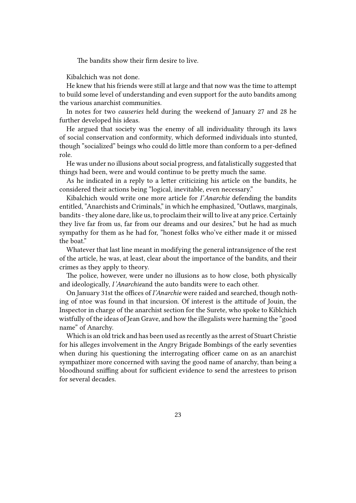The bandits show their firm desire to live.

Kibalchich was not done.

He knew that his friends were still at large and that now was the time to attempt to build some level of understanding and even support for the auto bandits among the various anarchist communities.

In notes for two *causeries* held during the weekend of January 27 and 28 he further developed his ideas.

He argued that society was the enemy of all individuality through its laws of social conservation and conformity, which deformed individuals into stunted, though "socialized" beings who could do little more than conform to a per-defined role.

He was under no illusions about social progress, and fatalistically suggested that things had been, were and would continue to be pretty much the same.

As he indicated in a reply to a letter criticizing his article on the bandits, he considered their actions being "logical, inevitable, even necessary."

Kibalchich would write one more article for *I'Anarchie* defending the bandits entitled, "Anarchists and Criminals," in which he emphasized, "Outlaws, marginals, bandits - they alone dare, like us, to proclaim their will to live at any price. Certainly they live far from us, far from our dreams and our desires," but he had as much sympathy for them as he had for, "honest folks who've either made it or missed the boat."

Whatever that last line meant in modifying the general intransigence of the rest of the article, he was, at least, clear about the importance of the bandits, and their crimes as they apply to theory.

The police, however, were under no illusions as to how close, both physically and ideologically, *I'Anarchie*and the auto bandits were to each other.

On January 31st the offices of *I'Anarchie* were raided and searched, though nothing of ntoe was found in that incursion. Of interest is the attitude of Jouin, the Inspector in charge of the anarchist section for the Surete, who spoke to Kiblchich wistfully of the ideas of Jean Grave, and how the illegalists were harming the "good name" of Anarchy.

Which is an old trick and has been used as recently as the arrest of Stuart Christie for his alleges involvement in the Angry Brigade Bombings of the early seventies when during his questioning the interrogating officer came on as an anarchist sympathizer more concerned with saving the good name of anarchy, than being a bloodhound sniffing about for sufficient evidence to send the arrestees to prison for several decades.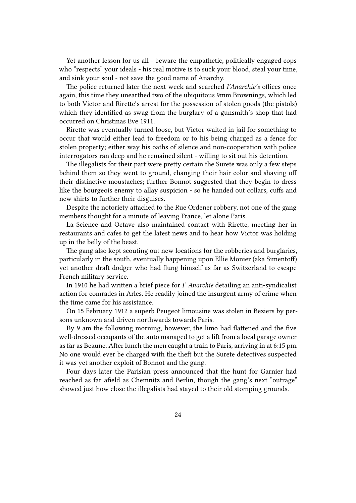Yet another lesson for us all - beware the empathetic, politically engaged cops who "respects" your ideals - his real motive is to suck your blood, steal your time, and sink your soul - not save the good name of Anarchy.

The police returned later the next week and searched *I'Anarchie's* offices once again, this time they unearthed two of the ubiquitous 9mm Brownings, which led to both Victor and Rirette's arrest for the possession of stolen goods (the pistols) which they identified as swag from the burglary of a gunsmith's shop that had occurred on Christmas Eve 1911.

Rirette was eventually turned loose, but Victor waited in jail for something to occur that would either lead to freedom or to his being charged as a fence for stolen property; either way his oaths of silence and non-cooperation with police interrogators ran deep and he remained silent - willing to sit out his detention.

The illegalists for their part were pretty certain the Surete was only a few steps behind them so they went to ground, changing their hair color and shaving off their distinctive moustaches; further Bonnot suggested that they begin to dress like the bourgeois enemy to allay suspicion - so he handed out collars, cuffs and new shirts to further their disguises.

Despite the notoriety attached to the Rue Ordener robbery, not one of the gang members thought for a minute of leaving France, let alone Paris.

La Science and Octave also maintained contact with Rirette, meeting her in restaurants and cafes to get the latest news and to hear how Victor was holding up in the belly of the beast.

The gang also kept scouting out new locations for the robberies and burglaries, particularly in the south, eventually happening upon Ellie Monier (aka Simentoff) yet another draft dodger who had flung himself as far as Switzerland to escape French military service.

In 1910 he had written a brief piece for *I' Anarchie* detailing an anti-syndicalist action for comrades in Arles. He readily joined the insurgent army of crime when the time came for his assistance.

On 15 February 1912 a superb Peugeot limousine was stolen in Beziers by persons unknown and driven northwards towards Paris.

By 9 am the following morning, however, the limo had flattened and the five well-dressed occupants of the auto managed to get a lift from a local garage owner as far as Beaune. After lunch the men caught a train to Paris, arriving in at 6:15 pm. No one would ever be charged with the theft but the Surete detectives suspected it was yet another exploit of Bonnot and the gang.

Four days later the Parisian press announced that the hunt for Garnier had reached as far afield as Chemnitz and Berlin, though the gang's next "outrage" showed just how close the illegalists had stayed to their old stomping grounds.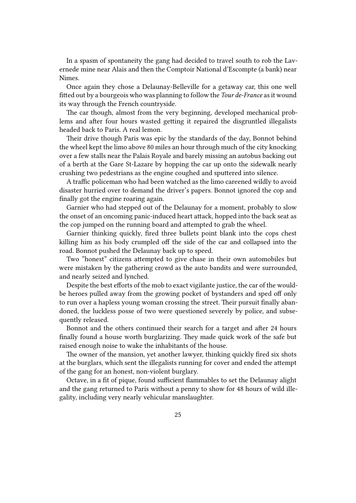In a spasm of spontaneity the gang had decided to travel south to rob the Lavernede mine near Alais and then the Comptoir National d'Escompte (a bank) near Nimes.

Once again they chose a Delaunay-Belleville for a getaway car, this one well fitted out by a bourgeois who was planning to follow the *Tour de-France* as it wound its way through the French countryside.

The car though, almost from the very beginning, developed mechanical problems and after four hours wasted getting it repaired the disgruntled illegalists headed back to Paris. A real lemon.

Their drive though Paris was epic by the standards of the day, Bonnot behind the wheel kept the limo above 80 miles an hour through much of the city knocking over a few stalls near the Palais Royale and barely missing an autobus backing out of a berth at the Gare St-Lazare by hopping the car up onto the sidewalk nearly crushing two pedestrians as the engine coughed and sputtered into silence.

A traffic policeman who had been watched as the limo careened wildly to avoid disaster hurried over to demand the driver's papers. Bonnot ignored the cop and finally got the engine roaring again.

Garnier who had stepped out of the Delaunay for a moment, probably to slow the onset of an oncoming panic-induced heart attack, hopped into the back seat as the cop jumped on the running board and attempted to grab the wheel.

Garnier thinking quickly, fired three bullets point blank into the cops chest killing him as his body crumpled off the side of the car and collapsed into the road. Bonnot pushed the Delaunay back up to speed.

Two "honest" citizens attempted to give chase in their own automobiles but were mistaken by the gathering crowd as the auto bandits and were surrounded, and nearly seized and lynched.

Despite the best efforts of the mob to exact vigilante justice, the car of the wouldbe heroes pulled away from the growing pocket of bystanders and sped off only to run over a hapless young woman crossing the street. Their pursuit finally abandoned, the luckless posse of two were questioned severely by police, and subsequently released.

Bonnot and the others continued their search for a target and after 24 hours finally found a house worth burglarizing. They made quick work of the safe but raised enough noise to wake the inhabitants of the house.

The owner of the mansion, yet another lawyer, thinking quickly fired six shots at the burglars, which sent the illegalists running for cover and ended the attempt of the gang for an honest, non-violent burglary.

Octave, in a fit of pique, found sufficient flammables to set the Delaunay alight and the gang returned to Paris without a penny to show for 48 hours of wild illegality, including very nearly vehicular manslaughter.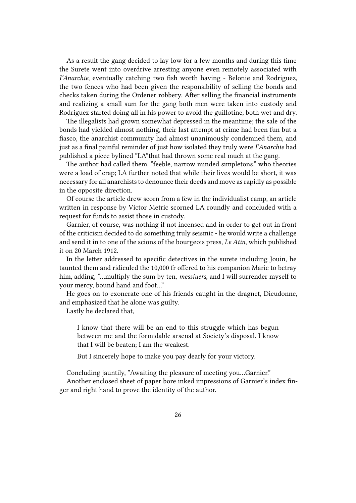As a result the gang decided to lay low for a few months and during this time the Surete went into overdrive arresting anyone even remotely associated with *I'Anarchie*, eventually catching two fish worth having - Belonie and Rodriguez, the two fences who had been given the responsibility of selling the bonds and checks taken during the Ordener robbery. After selling the financial instruments and realizing a small sum for the gang both men were taken into custody and Rodriguez started doing all in his power to avoid the guillotine, both wet and dry.

The illegalists had grown somewhat depressed in the meantime; the sale of the bonds had yielded almost nothing, their last attempt at crime had been fun but a fiasco, the anarchist community had almost unanimously condemned them, and just as a final painful reminder of just how isolated they truly were *I'Anarchie* had published a piece bylined "LA"that had thrown some real much at the gang.

The author had called them, "feeble, narrow minded simpletons," who theories were a load of crap; LA further noted that while their lives would be short, it was necessary for all anarchists to denounce their deeds and move as rapidly as possible in the opposite direction.

Of course the article drew scorn from a few in the individualist camp, an article written in response by Victor Metric scorned LA roundly and concluded with a request for funds to assist those in custody.

Garnier, of course, was nothing if not incensed and in order to get out in front of the criticism decided to do something truly seismic - he would write a challenge and send it in to one of the scions of the bourgeois press, *Le Atin*, which published it on 20 March 1912.

In the letter addressed to specific detectives in the surete including Jouin, he taunted them and ridiculed the 10,000 fr offered to his companion Marie to betray him, adding, "…multiply the sum by ten, *messiuers*, and I will surrender myself to your mercy, bound hand and foot…"

He goes on to exonerate one of his friends caught in the dragnet, Dieudonne, and emphasized that he alone was guilty.

Lastly he declared that,

I know that there will be an end to this struggle which has begun between me and the formidable arsenal at Society's disposal. I know that I will be beaten; I am the weakest.

But I sincerely hope to make you pay dearly for your victory.

Concluding jauntily, "Awaiting the pleasure of meeting you…Garnier."

Another enclosed sheet of paper bore inked impressions of Garnier's index finger and right hand to prove the identity of the author.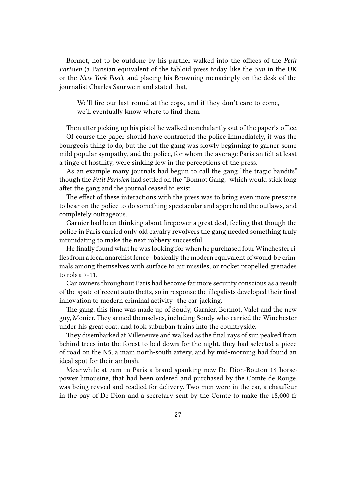Bonnot, not to be outdone by his partner walked into the offices of the *Petit Parisien* (a Parisian equivalent of the tabloid press today like the *Sun* in the UK or the *New York Post*), and placing his Browning menacingly on the desk of the journalist Charles Saurwein and stated that,

We'll fire our last round at the cops, and if they don't care to come, we'll eventually know where to find them.

Then after picking up his pistol he walked nonchalantly out of the paper's office. Of course the paper should have contracted the police immediately, it was the bourgeois thing to do, but the but the gang was slowly beginning to garner some mild popular sympathy, and the police, for whom the average Parisian felt at least a tinge of hostility, were sinking low in the perceptions of the press.

As an example many journals had begun to call the gang "the tragic bandits" though the *Petit Parisien* had settled on the "Bonnot Gang," which would stick long after the gang and the journal ceased to exist.

The effect of these interactions with the press was to bring even more pressure to bear on the police to do something spectacular and apprehend the outlaws, and completely outrageous.

Garnier had been thinking about firepower a great deal, feeling that though the police in Paris carried only old cavalry revolvers the gang needed something truly intimidating to make the next robbery successful.

He finally found what he was looking for when he purchased four Winchester rifles from a local anarchist fence - basically the modern equivalent of would-be criminals among themselves with surface to air missiles, or rocket propelled grenades to rob a 7-11.

Car owners throughout Paris had become far more security conscious as a result of the spate of recent auto thefts, so in response the illegalists developed their final innovation to modern criminal activity- the car-jacking.

The gang, this time was made up of Soudy, Garnier, Bonnot, Valet and the new guy, Monier. They armed themselves, including Soudy who carried the Winchester under his great coat, and took suburban trains into the countryside.

They disembarked at Villeneuve and walked as the final rays of sun peaked from behind trees into the forest to bed down for the night. they had selected a piece of road on the N5, a main north-south artery, and by mid-morning had found an ideal spot for their ambush.

Meanwhile at 7am in Paris a brand spanking new De Dion-Bouton 18 horsepower limousine, that had been ordered and purchased by the Comte de Rouge, was being revved and readied for delivery. Two men were in the car, a chauffeur in the pay of De Dion and a secretary sent by the Comte to make the 18,000 fr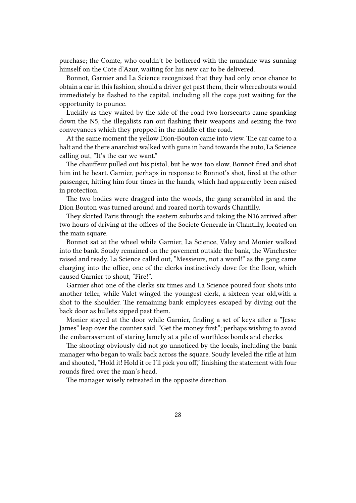purchase; the Comte, who couldn't be bothered with the mundane was sunning himself on the Cote d'Azur, waiting for his new car to be delivered.

Bonnot, Garnier and La Science recognized that they had only once chance to obtain a car in this fashion, should a driver get past them, their whereabouts would immediately be flashed to the capital, including all the cops just waiting for the opportunity to pounce.

Luckily as they waited by the side of the road two horsecarts came spanking down the N5, the illegalists ran out flashing their weapons and seizing the two conveyances which they propped in the middle of the road.

At the same moment the yellow Dion-Bouton came into view. The car came to a halt and the there anarchist walked with guns in hand towards the auto, La Science calling out, "It's the car we want."

The chauffeur pulled out his pistol, but he was too slow, Bonnot fired and shot him int he heart. Garnier, perhaps in response to Bonnot's shot, fired at the other passenger, hitting him four times in the hands, which had apparently been raised in protection.

The two bodies were dragged into the woods, the gang scrambled in and the Dion Bouton was turned around and roared north towards Chantilly.

They skirted Paris through the eastern suburbs and taking the N16 arrived after two hours of driving at the offices of the Societe Generale in Chantilly, located on the main square.

Bonnot sat at the wheel while Garnier, La Science, Valey and Monier walked into the bank. Soudy remained on the pavement outside the bank, the Winchester raised and ready. La Science called out, "Messieurs, not a word!" as the gang came charging into the office, one of the clerks instinctively dove for the floor, which caused Garnier to shout, "Fire!".

Garnier shot one of the clerks six times and La Science poured four shots into another teller, while Valet winged the youngest clerk, a sixteen year old,with a shot to the shoulder. The remaining bank employees escaped by diving out the back door as bullets zipped past them.

Monier stayed at the door while Garnier, finding a set of keys after a "Jesse James" leap over the counter said, "Get the money first,"; perhaps wishing to avoid the embarrassment of staring lamely at a pile of worthless bonds and checks.

The shooting obviously did not go unnoticed by the locals, including the bank manager who began to walk back across the square. Soudy leveled the rifle at him and shouted, "Hold it! Hold it or I'll pick you off," finishing the statement with four rounds fired over the man's head.

The manager wisely retreated in the opposite direction.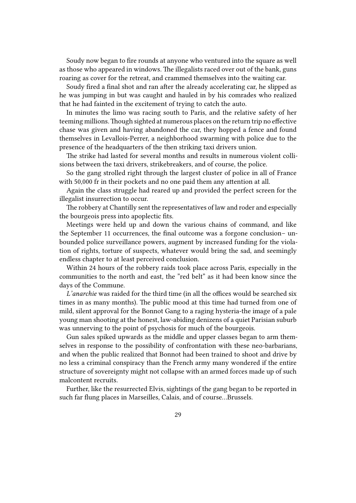Soudy now began to fire rounds at anyone who ventured into the square as well as those who appeared in windows. The illegalists raced over out of the bank, guns roaring as cover for the retreat, and crammed themselves into the waiting car.

Soudy fired a final shot and ran after the already accelerating car, he slipped as he was jumping in but was caught and hauled in by his comrades who realized that he had fainted in the excitement of trying to catch the auto.

In minutes the limo was racing south to Paris, and the relative safety of her teeming millions.Though sighted at numerous places on the return trip no effective chase was given and having abandoned the car, they hopped a fence and found themselves in Levallois-Perrer, a neighborhood swarming with police due to the presence of the headquarters of the then striking taxi drivers union.

The strike had lasted for several months and results in numerous violent collisions between the taxi drivers, strikebreakers, and of course, the police.

So the gang strolled right through the largest cluster of police in all of France with 50,000 fr in their pockets and no one paid them any attention at all.

Again the class struggle had reared up and provided the perfect screen for the illegalist insurrection to occur.

The robbery at Chantilly sent the representatives of law and roder and especially the bourgeois press into apoplectic fits.

Meetings were held up and down the various chains of command, and like the September 11 occurrences, the final outcome was a forgone conclusion– unbounded police surveillance powers, augment by increased funding for the violation of rights, torture of suspects, whatever would bring the sad, and seemingly endless chapter to at least perceived conclusion.

Within 24 hours of the robbery raids took place across Paris, especially in the communities to the north and east, the "red belt" as it had been know since the days of the Commune.

*L'anarchie* was raided for the third time (in all the offices would be searched six times in as many months). The public mood at this time had turned from one of mild, silent approval for the Bonnot Gang to a raging hysteria-the image of a pale young man shooting at the honest, law-abiding denizens of a quiet Parisian suburb was unnerving to the point of psychosis for much of the bourgeois.

Gun sales spiked upwards as the middle and upper classes began to arm themselves in response to the possibility of confrontation with these neo-barbarians, and when the public realized that Bonnot had been trained to shoot and drive by no less a criminal conspiracy than the French army many wondered if the entire structure of sovereignty might not collapse with an armed forces made up of such malcontent recruits.

Further, like the resurrected Elvis, sightings of the gang began to be reported in such far flung places in Marseilles, Calais, and of course…Brussels.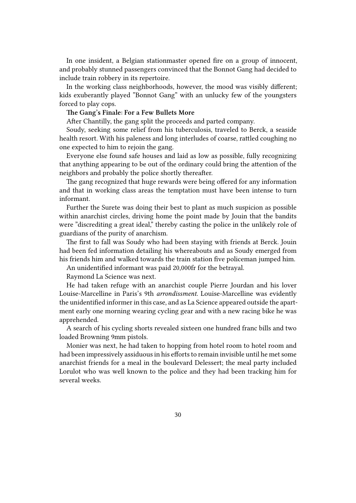In one insident, a Belgian stationmaster opened fire on a group of innocent, and probably stunned passengers convinced that the Bonnot Gang had decided to include train robbery in its repertoire.

In the working class neighborhoods, however, the mood was visibly different; kids exuberantly played "Bonnot Gang" with an unlucky few of the youngsters forced to play cops.

#### **The Gang's Finale: For a Few Bullets More**

After Chantilly, the gang split the proceeds and parted company.

Soudy, seeking some relief from his tuberculosis, traveled to Berck, a seaside health resort. With his paleness and long interludes of coarse, rattled coughing no one expected to him to rejoin the gang.

Everyone else found safe houses and laid as low as possible, fully recognizing that anything appearing to be out of the ordinary could bring the attention of the neighbors and probably the police shortly thereafter.

The gang recognized that huge rewards were being offered for any information and that in working class areas the temptation must have been intense to turn informant.

Further the Surete was doing their best to plant as much suspicion as possible within anarchist circles, driving home the point made by Jouin that the bandits were "discrediting a great ideal," thereby casting the police in the unlikely role of guardians of the purity of anarchism.

The first to fall was Soudy who had been staying with friends at Berck. Jouin had been fed information detailing his whereabouts and as Soudy emerged from his friends him and walked towards the train station five policeman jumped him.

An unidentified informant was paid 20,000fr for the betrayal.

Raymond La Science was next.

He had taken refuge with an anarchist couple Pierre Jourdan and his lover Louise-Marcelline in Paris's 9th *arrondissment*. Louise-Marcelline was evidently the unidentified informer in this case, and as La Science appeared outside the apartment early one morning wearing cycling gear and with a new racing bike he was apprehended.

A search of his cycling shorts revealed sixteen one hundred franc bills and two loaded Browning 9mm pistols.

Monier was next, he had taken to hopping from hotel room to hotel room and had been impressively assiduous in his efforts to remain invisible until he met some anarchist friends for a meal in the boulevard Delessert; the meal party included Lorulot who was well known to the police and they had been tracking him for several weeks.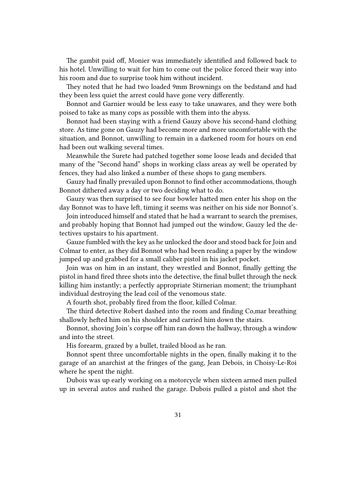The gambit paid off, Monier was immediately identified and followed back to his hotel. Unwilling to wait for him to come out the police forced their way into his room and due to surprise took him without incident.

They noted that he had two loaded 9mm Brownings on the bedstand and had they been less quiet the arrest could have gone very differently.

Bonnot and Garnier would be less easy to take unawares, and they were both poised to take as many cops as possible with them into the abyss.

Bonnot had been staying with a friend Gauzy above his second-hand clothing store. As time gone on Gauzy had become more and more uncomfortable with the situation, and Bonnot, unwilling to remain in a darkened room for hours on end had been out walking several times.

Meanwhile the Surete had patched together some loose leads and decided that many of the "Second hand" shops in working class areas ay well be operated by fences, they had also linked a number of these shops to gang members.

Gauzy had finally prevailed upon Bonnot to find other accommodations, though Bonnot dithered away a day or two deciding what to do.

Gauzy was then surprised to see four bowler hatted men enter his shop on the day Bonnot was to have left, timing it seems was neither on his side nor Bonnot's.

Join introduced himself and stated that he had a warrant to search the premises, and probably hoping that Bonnot had jumped out the window, Gauzy led the detectives upstairs to his apartment.

Gauze fumbled with the key as he unlocked the door and stood back for Join and Colmar to enter, as they did Bonnot who had been reading a paper by the window jumped up and grabbed for a small caliber pistol in his jacket pocket.

Join was on him in an instant, they wrestled and Bonnot, finally getting the pistol in hand fired three shots into the detective, the final bullet through the neck killing him instantly; a perfectly appropriate Stirnerian moment; the triumphant individual destroying the lead coil of the venomous state.

A fourth shot, probably fired from the floor, killed Colmar.

The third detective Robert dashed into the room and finding Co,mar breathing shallowly hefted him on his shoulder and carried him down the stairs.

Bonnot, shoving Join's corpse off him ran down the hallway, through a window and into the street.

His forearm, grazed by a bullet, trailed blood as he ran.

Bonnot spent three uncomfortable nights in the open, finally making it to the garage of an anarchist at the fringes of the gang, Jean Debois, in Choisy-Le-Roi where he spent the night.

Dubois was up early working on a motorcycle when sixteen armed men pulled up in several autos and rushed the garage. Dubois pulled a pistol and shot the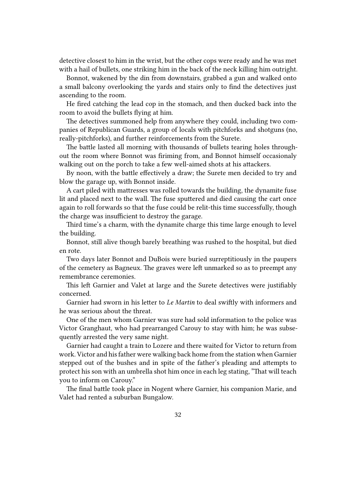detective closest to him in the wrist, but the other cops were ready and he was met with a hail of bullets, one striking him in the back of the neck killing him outright.

Bonnot, wakened by the din from downstairs, grabbed a gun and walked onto a small balcony overlooking the yards and stairs only to find the detectives just ascending to the room.

He fired catching the lead cop in the stomach, and then ducked back into the room to avoid the bullets flying at him.

The detectives summoned help from anywhere they could, including two companies of Republican Guards, a group of locals with pitchforks and shotguns (no, really-pitchforks), and further reinforcements from the Surete.

The battle lasted all morning with thousands of bullets tearing holes throughout the room where Bonnot was firiming from, and Bonnot himself occasionaly walking out on the porch to take a few well-aimed shots at his attackers.

By noon, with the battle effectively a draw; the Surete men decided to try and blow the garage up, with Bonnot inside.

A cart piled with mattresses was rolled towards the building, the dynamite fuse lit and placed next to the wall. The fuse sputtered and died causing the cart once again to roll forwards so that the fuse could be relit-this time successfully, though the charge was insufficient to destroy the garage.

Third time's a charm, with the dynamite charge this time large enough to level the building.

Bonnot, still alive though barely breathing was rushed to the hospital, but died en rote.

Two days later Bonnot and DuBois were buried surreptitiously in the paupers of the cemetery as Bagneux. The graves were left unmarked so as to preempt any remembrance ceremonies.

This left Garnier and Valet at large and the Surete detectives were justifiably concerned.

Garnier had sworn in his letter to *Le Martin* to deal swiftly with informers and he was serious about the threat.

One of the men whom Garnier was sure had sold information to the police was Victor Granghaut, who had prearranged Carouy to stay with him; he was subsequently arrested the very same night.

Garnier had caught a train to Lozere and there waited for Victor to return from work. Victor and his father were walking back home from the station when Garnier stepped out of the bushes and in spite of the father's pleading and attempts to protect his son with an umbrella shot him once in each leg stating, "That will teach you to inform on Carouy."

The final battle took place in Nogent where Garnier, his companion Marie, and Valet had rented a suburban Bungalow.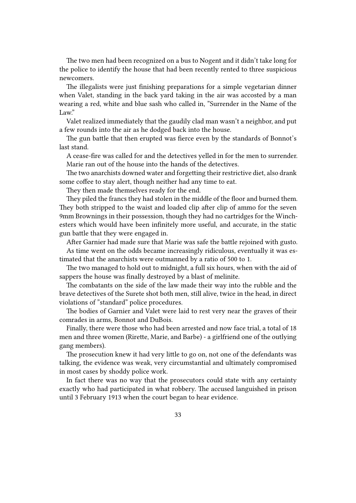The two men had been recognized on a bus to Nogent and it didn't take long for the police to identify the house that had been recently rented to three suspicious newcomers.

The illegalists were just finishing preparations for a simple vegetarian dinner when Valet, standing in the back yard taking in the air was accosted by a man wearing a red, white and blue sash who called in, "Surrender in the Name of the Law."

Valet realized immediately that the gaudily clad man wasn't a neighbor, and put a few rounds into the air as he dodged back into the house.

The gun battle that then erupted was fierce even by the standards of Bonnot's last stand.

A cease-fire was called for and the detectives yelled in for the men to surrender. Marie ran out of the house into the hands of the detectives.

The two anarchists downed water and forgetting their restrictive diet, also drank some coffee to stay alert, though neither had any time to eat.

They then made themselves ready for the end.

They piled the francs they had stolen in the middle of the floor and burned them. They both stripped to the waist and loaded clip after clip of ammo for the seven 9mm Brownings in their possession, though they had no cartridges for the Winchesters which would have been infinitely more useful, and accurate, in the static gun battle that they were engaged in.

After Garnier had made sure that Marie was safe the battle rejoined with gusto. As time went on the odds became increasingly ridiculous, eventually it was estimated that the anarchists were outmanned by a ratio of 500 to 1.

The two managed to hold out to midnight, a full six hours, when with the aid of sappers the house was finally destroyed by a blast of melinite.

The combatants on the side of the law made their way into the rubble and the brave detectives of the Surete shot both men, still alive, twice in the head, in direct violations of "standard" police procedures.

The bodies of Garnier and Valet were laid to rest very near the graves of their comrades in arms, Bonnot and DuBois.

Finally, there were those who had been arrested and now face trial, a total of 18 men and three women (Rirette, Marie, and Barbe) - a girlfriend one of the outlying gang members).

The prosecution knew it had very little to go on, not one of the defendants was talking, the evidence was weak, very circumstantial and ultimately compromised in most cases by shoddy police work.

In fact there was no way that the prosecutors could state with any certainty exactly who had participated in what robbery. The accused languished in prison until 3 February 1913 when the court began to hear evidence.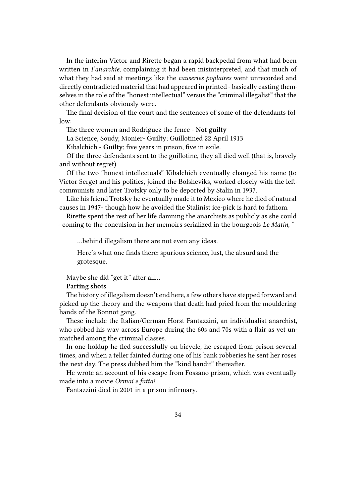In the interim Victor and Rirette began a rapid backpedal from what had been written in *I'anarchie*, complaining it had been misinterpreted, and that much of what they had said at meetings like the *causeries poplaires* went unrecorded and directly contradicted material that had appeared in printed - basically casting themselves in the role of the "honest intellectual" versus the "criminal illegalist" that the other defendants obviously were.

The final decision of the court and the sentences of some of the defendants follow:

The three women and Rodriguez the fence - **Not guilty**

La Science, Soudy, Monier- **Guilty**; Guillotined 22 April 1913

Kibalchich - **Guilty**; five years in prison, five in exile.

Of the three defendants sent to the guillotine, they all died well (that is, bravely and without regret).

Of the two "honest intellectuals" Kibalchich eventually changed his name (to Victor Serge) and his politics, joined the Bolsheviks, worked closely with the leftcommunists and later Trotsky only to be deported by Stalin in 1937.

Like his friend Trotsky he eventually made it to Mexico where he died of natural causes in 1947- though how he avoided the Stalinist ice-pick is hard to fathom.

Rirette spent the rest of her life damning the anarchists as publicly as she could - coming to the conculsion in her memoirs serialized in the bourgeois *Le Matin*, "

…behind illegalism there are not even any ideas.

Here's what one finds there: spurious science, lust, the absurd and the grotesque.

Maybe she did "get it" after all…

**Parting shots**

The history of illegalism doesn't end here, a few others have stepped forward and picked up the theory and the weapons that death had pried from the mouldering hands of the Bonnot gang.

These include the Italian/German Horst Fantazzini, an individualist anarchist, who robbed his way across Europe during the 60s and 70s with a flair as yet unmatched among the criminal classes.

In one holdup he fled successfully on bicycle, he escaped from prison several times, and when a teller fainted during one of his bank robberies he sent her roses the next day. The press dubbed him the "kind bandit" thereafter.

He wrote an account of his escape from Fossano prison, which was eventually made into a movie *Ormai e fatta!*

Fantazzini died in 2001 in a prison infirmary.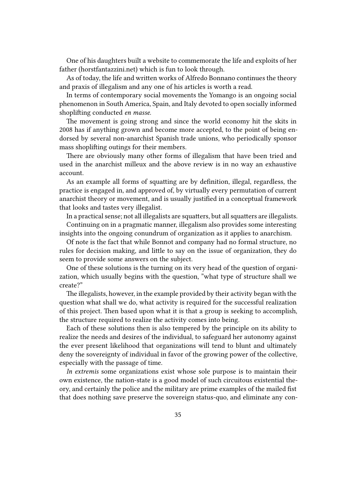One of his daughters built a website to commemorate the life and exploits of her father (horstfantazzini.net) which is fun to look through.

As of today, the life and written works of Alfredo Bonnano continues the theory and praxis of illegalism and any one of his articles is worth a read.

In terms of contemporary social movements the Yomango is an ongoing social phenomenon in South America, Spain, and Italy devoted to open socially informed shoplifting conducted *en masse*.

The movement is going strong and since the world economy hit the skits in 2008 has if anything grown and become more accepted, to the point of being endorsed by several non-anarchist Spanish trade unions, who periodically sponsor mass shoplifting outings for their members.

There are obviously many other forms of illegalism that have been tried and used in the anarchist milleux and the above review is in no way an exhaustive account.

As an example all forms of squatting are by definition, illegal, regardless, the practice is engaged in, and approved of, by virtually every permutation of current anarchist theory or movement, and is usually justified in a conceptual framework that looks and tastes very illegalist.

In a practical sense; not all illegalists are squatters, but all squatters are illegalists.

Continuing on in a pragmatic manner, illegalism also provides some interesting insights into the ongoing conundrum of organization as it applies to anarchism.

Of note is the fact that while Bonnot and company had no formal structure, no rules for decision making, and little to say on the issue of organization, they do seem to provide some answers on the subject.

One of these solutions is the turning on its very head of the question of organization, which usually begins with the question, "what type of structure shall we create?"

The illegalists, however, in the example provided by their activity began with the question what shall we do, what activity is required for the successful realization of this project. Then based upon what it is that a group is seeking to accomplish, the structure required to realize the activity comes into being.

Each of these solutions then is also tempered by the principle on its ability to realize the needs and desires of the individual, to safeguard her autonomy against the ever present likelihood that organizations will tend to blunt and ultimately deny the sovereignty of individual in favor of the growing power of the collective, especially with the passage of time.

*In extremis* some organizations exist whose sole purpose is to maintain their own existence, the nation-state is a good model of such circuitous existential theory, and certainly the police and the military are prime examples of the mailed fist that does nothing save preserve the sovereign status-quo, and eliminate any con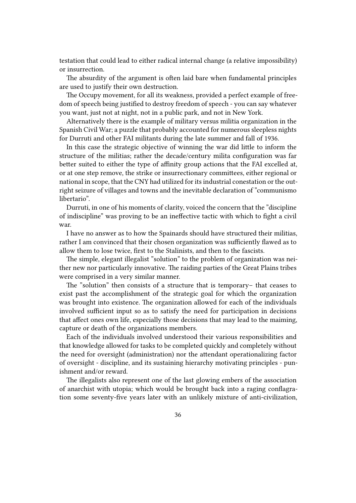testation that could lead to either radical internal change (a relative impossibility) or insurrection.

The absurdity of the argument is often laid bare when fundamental principles are used to justify their own destruction.

The Occupy movement, for all its weakness, provided a perfect example of freedom of speech being justified to destroy freedom of speech - you can say whatever you want, just not at night, not in a public park, and not in New York.

Alternatively there is the example of military versus militia organization in the Spanish Civil War; a puzzle that probably accounted for numerous sleepless nights for Durruti and other FAI militants during the late summer and fall of 1936.

In this case the strategic objective of winning the war did little to inform the structure of the militias; rather the decade/century milita configuration was far better suited to either the type of affinity group actions that the FAI excelled at, or at one step remove, the strike or insurrectionary committees, either regional or national in scope, that the CNY had utilized for its industrial conestation or the outright seizure of villages and towns and the inevitable declaration of "communismo libertario".

Durruti, in one of his moments of clarity, voiced the concern that the "discipline of indiscipline" was proving to be an ineffective tactic with which to fight a civil war.

I have no answer as to how the Spainards should have structured their militias, rather I am convinced that their chosen organization was sufficiently flawed as to allow them to lose twice, first to the Stalinists, and then to the fascists.

The simple, elegant illegalist "solution" to the problem of organization was neither new nor particularly innovative. The raiding parties of the Great Plains tribes were comprised in a very similar manner.

The "solution" then consists of a structure that is temporary– that ceases to exist past the accomplishment of the strategic goal for which the organization was brought into existence. The organization allowed for each of the individuals involved sufficient input so as to satisfy the need for participation in decisions that affect ones own life, especially those decisions that may lead to the maiming, capture or death of the organizations members.

Each of the individuals involved understood their various responsibilities and that knowledge allowed for tasks to be completed quickly and completely without the need for oversight (administration) nor the attendant operationalizing factor of oversight - discipline, and its sustaining hierarchy motivating principles - punishment and/or reward.

The illegalists also represent one of the last glowing embers of the association of anarchist with utopia; which would be brought back into a raging conflagration some seventy-five years later with an unlikely mixture of anti-civilization,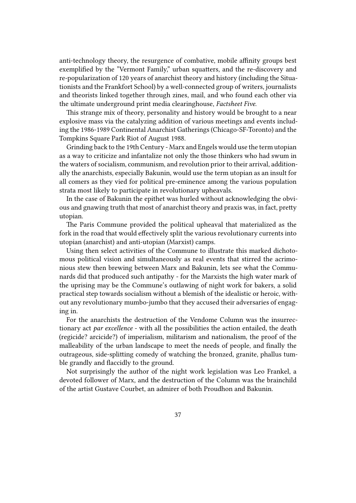anti-technology theory, the resurgence of combative, mobile affinity groups best exemplified by the "Vermont Family," urban squatters, and the re-discovery and re-popularization of 120 years of anarchist theory and history (including the Situationists and the Frankfort School) by a well-connected group of writers, journalists and theorists linked together through zines, mail, and who found each other via the ultimate underground print media clearinghouse, *Factsheet Five*.

This strange mix of theory, personality and history would be brought to a near explosive mass via the catalyzing addition of various meetings and events including the 1986-1989 Continental Anarchist Gatherings (Chicago-SF-Toronto) and the Tompkins Square Park Riot of August 1988.

Grinding back to the 19th Century - Marx and Engels would use the term utopian as a way to criticize and infantalize not only the those thinkers who had swum in the waters of socialism, communism, and revolution prior to their arrival, additionally the anarchists, especially Bakunin, would use the term utopian as an insult for all comers as they vied for political pre-eminence among the various population strata most likely to participate in revolutionary upheavals.

In the case of Bakunin the epithet was hurled without acknowledging the obvious and gnawing truth that most of anarchist theory and praxis was, in fact, pretty utopian.

The Paris Commune provided the political upheaval that materialized as the fork in the road that would effectively split the various revolutionary currents into utopian (anarchist) and anti-utopian (Marxist) camps.

Using then select activities of the Commune to illustrate this marked dichotomous political vision and simultaneously as real events that stirred the acrimonious stew then brewing between Marx and Bakunin, lets see what the Communards did that produced such antipathy - for the Marxists the high water mark of the uprising may be the Commune's outlawing of night work for bakers, a solid practical step towards socialism without a blemish of the idealistic or heroic, without any revolutionary mumbo-jumbo that they accused their adversaries of engaging in.

For the anarchists the destruction of the Vendome Column was the insurrectionary act *par excellence* - with all the possibilities the action entailed, the death (regicide? arcicide?) of imperialism, militarism and nationalism, the proof of the malleability of the urban landscape to meet the needs of people, and finally the outrageous, side-splitting comedy of watching the bronzed, granite, phallus tumble grandly and flaccidly to the ground.

Not surprisingly the author of the night work legislation was Leo Frankel, a devoted follower of Marx, and the destruction of the Column was the brainchild of the artist Gustave Courbet, an admirer of both Proudhon and Bakunin.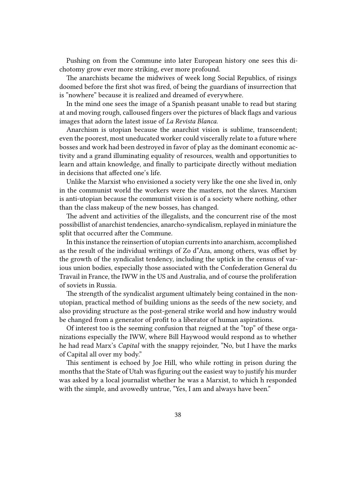Pushing on from the Commune into later European history one sees this dichotomy grow ever more striking, ever more profound.

The anarchists became the midwives of week long Social Republics, of risings doomed before the first shot was fired, of being the guardians of insurrection that is "nowhere" because it is realized and dreamed of everywhere.

In the mind one sees the image of a Spanish peasant unable to read but staring at and moving rough, calloused fingers over the pictures of black flags and various images that adorn the latest issue of *La Revista Blanca*.

Anarchism is utopian because the anarchist vision is sublime, transcendent; even the poorest, most uneducated worker could viscerally relate to a future where bosses and work had been destroyed in favor of play as the dominant economic activity and a grand illuminating equality of resources, wealth and opportunities to learn and attain knowledge, and finally to participate directly without mediation in decisions that affected one's life.

Unlike the Marxist who envisioned a society very like the one she lived in, only in the communist world the workers were the masters, not the slaves. Marxism is anti-utopian because the communist vision is of a society where nothing, other than the class makeup of the new bosses, has changed.

The advent and activities of the illegalists, and the concurrent rise of the most possibillist of anarchist tendencies, anarcho-syndicalism, replayed in miniature the split that occurred after the Commune.

In this instance the reinsertion of utopian currents into anarchism, accomplished as the result of the individual writings of Zo d"Aza, among others, was offset by the growth of the syndicalist tendency, including the uptick in the census of various union bodies, especially those associated with the Confederation General du Travail in France, the IWW in the US and Australia, and of course the proliferation of soviets in Russia.

The strength of the syndicalist argument ultimately being contained in the nonutopian, practical method of building unions as the seeds of the new society, and also providing structure as the post-general strike world and how industry would be changed from a generator of profit to a liberator of human aspirations.

Of interest too is the seeming confusion that reigned at the "top" of these organizations especially the IWW, where Bill Haywood would respond as to whether he had read Marx's *Capital* with the snappy rejoinder, "No, but I have the marks of Capital all over my body."

This sentiment is echoed by Joe Hill, who while rotting in prison during the months that the State of Utah was figuring out the easiest way to justify his murder was asked by a local journalist whether he was a Marxist, to which h responded with the simple, and avowedly untrue, "Yes, I am and always have been."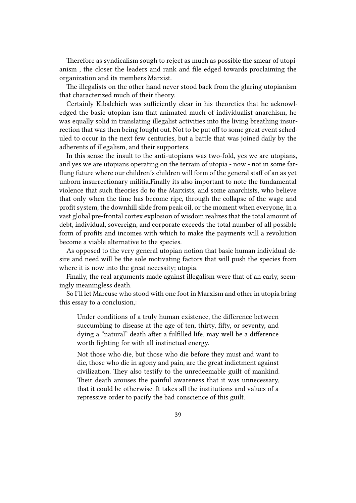Therefore as syndicalism sough to reject as much as possible the smear of utopianism , the closer the leaders and rank and file edged towards proclaiming the organization and its members Marxist.

The illegalists on the other hand never stood back from the glaring utopianism that characterized much of their theory.

Certainly Kibalchich was sufficiently clear in his theoretics that he acknowledged the basic utopian ism that animated much of individualist anarchism, he was equally solid in translating illegalist activities into the living breathing insurrection that was then being fought out. Not to be put off to some great event scheduled to occur in the next few centuries, but a battle that was joined daily by the adherents of illegalism, and their supporters.

In this sense the insult to the anti-utopians was two-fold, yes we are utopians, and yes we are utopians operating on the terrain of utopia - now - not in some farflung future where our children's children will form of the general staff of an as yet unborn insurrectionary militia.Finally its also important to note the fundamental violence that such theories do to the Marxists, and some anarchists, who believe that only when the time has become ripe, through the collapse of the wage and profit system, the downhill slide from peak oil, or the moment when everyone, in a vast global pre-frontal cortex explosion of wisdom realizes that the total amount of debt, individual, sovereign, and corporate exceeds the total number of all possible form of profits and incomes with which to make the payments will a revolution become a viable alternative to the species.

As opposed to the very general utopian notion that basic human individual desire and need will be the sole motivating factors that will push the species from where it is now into the great necessity; utopia.

Finally, the real arguments made against illegalism were that of an early, seemingly meaningless death.

So I'll let Marcuse who stood with one foot in Marxism and other in utopia bring this essay to a conclusion,:

Under conditions of a truly human existence, the difference between succumbing to disease at the age of ten, thirty, fifty, or seventy, and dying a "natural" death after a fulfilled life, may well be a difference worth fighting for with all instinctual energy.

Not those who die, but those who die before they must and want to die, those who die in agony and pain, are the great indictment against civilization. They also testify to the unredeemable guilt of mankind. Their death arouses the painful awareness that it was unnecessary, that it could be otherwise. It takes all the institutions and values of a repressive order to pacify the bad conscience of this guilt.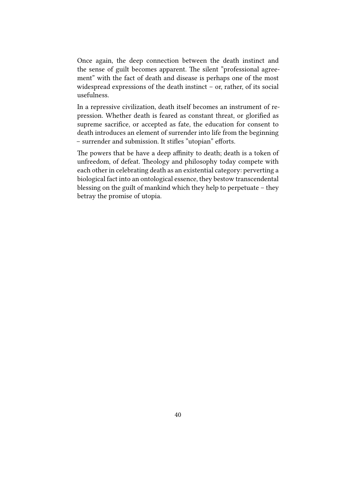Once again, the deep connection between the death instinct and the sense of guilt becomes apparent. The silent "professional agreement" with the fact of death and disease is perhaps one of the most widespread expressions of the death instinct – or, rather, of its social usefulness.

In a repressive civilization, death itself becomes an instrument of repression. Whether death is feared as constant threat, or glorified as supreme sacrifice, or accepted as fate, the education for consent to death introduces an element of surrender into life from the beginning – surrender and submission. It stifles "utopian" efforts.

The powers that be have a deep affinity to death; death is a token of unfreedom, of defeat. Theology and philosophy today compete with each other in celebrating death as an existential category: perverting a biological fact into an ontological essence, they bestow transcendental blessing on the guilt of mankind which they help to perpetuate – they betray the promise of utopia.